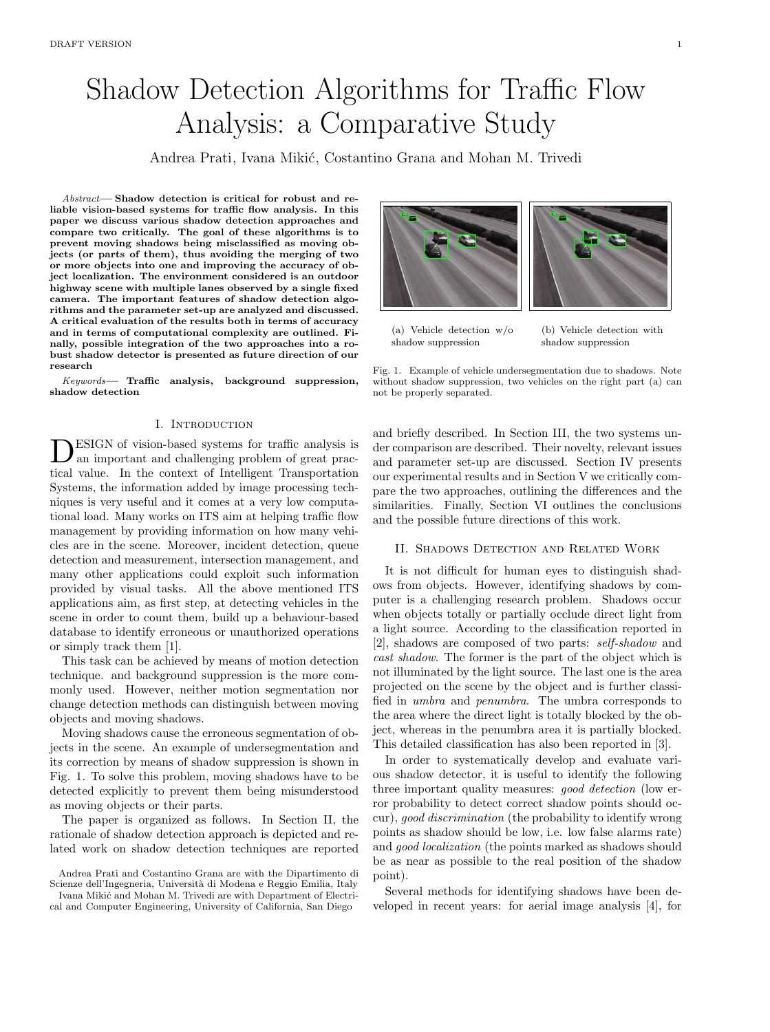# Shadow Detection Algorithms for Traffic Flow Analysis: a Comparative Study

Andrea Prati, Ivana Mikić, Costantino Grana and Mohan M. Trivedi

Abstract— Shadow detection is critical for robust and reliable vision-based systems for traffic flow analysis. In this paper we discuss various shadow detection approaches and compare two critically. The goal of these algorithms is to prevent moving shadows being misclassified as moving objects (or parts of them), thus avoiding the merging of two or more objects into one and improving the accuracy of object localization. The environment considered is an outdoor highway scene with multiple lanes observed by a single fixed camera. The important features of shadow detection algorithms and the parameter set-up are analyzed and discussed. A critical evaluation of the results both in terms of accuracy and in terms of computational complexity are outlined. Finally, possible integration of the two approaches into a robust shadow detector is presented as future direction of our research

Keywords— Traffic analysis, background suppression, shadow detection

## I. Introduction

**DESIGN** of vision-based systems for traffic analysis is an important and challenging problem of great practical value. In the context of Intelligent Transportation ESIGN of vision-based systems for traffic analysis is an important and challenging problem of great prac-Systems, the information added by image processing techniques is very useful and it comes at a very low computational load. Many works on ITS aim at helping traffic flow management by providing information on how many vehicles are in the scene. Moreover, incident detection, queue detection and measurement, intersection management, and many other applications could exploit such information provided by visual tasks. All the above mentioned ITS applications aim, as first step, at detecting vehicles in the scene in order to count them, build up a behaviour-based database to identify erroneous or unauthorized operations or simply track them [1].

This task can be achieved by means of motion detection technique. and background suppression is the more commonly used. However, neither motion segmentation nor change detection methods can distinguish between moving objects and moving shadows.

Moving shadows cause the erroneous segmentation of objects in the scene. An example of undersegmentation and its correction by means of shadow suppression is shown in Fig. 1. To solve this problem, moving shadows have to be detected explicitly to prevent them being misunderstood as moving objects or their parts.

The paper is organized as follows. In Section II, the rationale of shadow detection approach is depicted and related work on shadow detection techniques are reported





(a) Vehicle detection w/o shadow suppression

(b) Vehicle detection with shadow suppression

Fig. 1. Example of vehicle undersegmentation due to shadows. Note without shadow suppression, two vehicles on the right part (a) can not be properly separated.

and briefly described. In Section III, the two systems under comparison are described. Their novelty, relevant issues and parameter set-up are discussed. Section IV presents our experimental results and in Section V we critically compare the two approaches, outlining the differences and the similarities. Finally, Section VI outlines the conclusions and the possible future directions of this work.

#### II. Shadows Detection and Related Work

It is not difficult for human eyes to distinguish shadows from objects. However, identifying shadows by computer is a challenging research problem. Shadows occur when objects totally or partially occlude direct light from a light source. According to the classification reported in [2], shadows are composed of two parts: self-shadow and cast shadow. The former is the part of the object which is not illuminated by the light source. The last one is the area projected on the scene by the object and is further classified in umbra and penumbra. The umbra corresponds to the area where the direct light is totally blocked by the object, whereas in the penumbra area it is partially blocked. This detailed classification has also been reported in [3].

In order to systematically develop and evaluate various shadow detector, it is useful to identify the following three important quality measures: good detection (low error probability to detect correct shadow points should occur), good discrimination (the probability to identify wrong points as shadow should be low, i.e. low false alarms rate) and good localization (the points marked as shadows should be as near as possible to the real position of the shadow point).

Several methods for identifying shadows have been developed in recent years: for aerial image analysis [4], for

Andrea Prati and Costantino Grana are with the Dipartimento di Scienze dell'Ingegneria, Università di Modena e Reggio Emilia, Italy

Ivana Mikić and Mohan M. Trivedi are with Department of Electrical and Computer Engineering, University of California, San Diego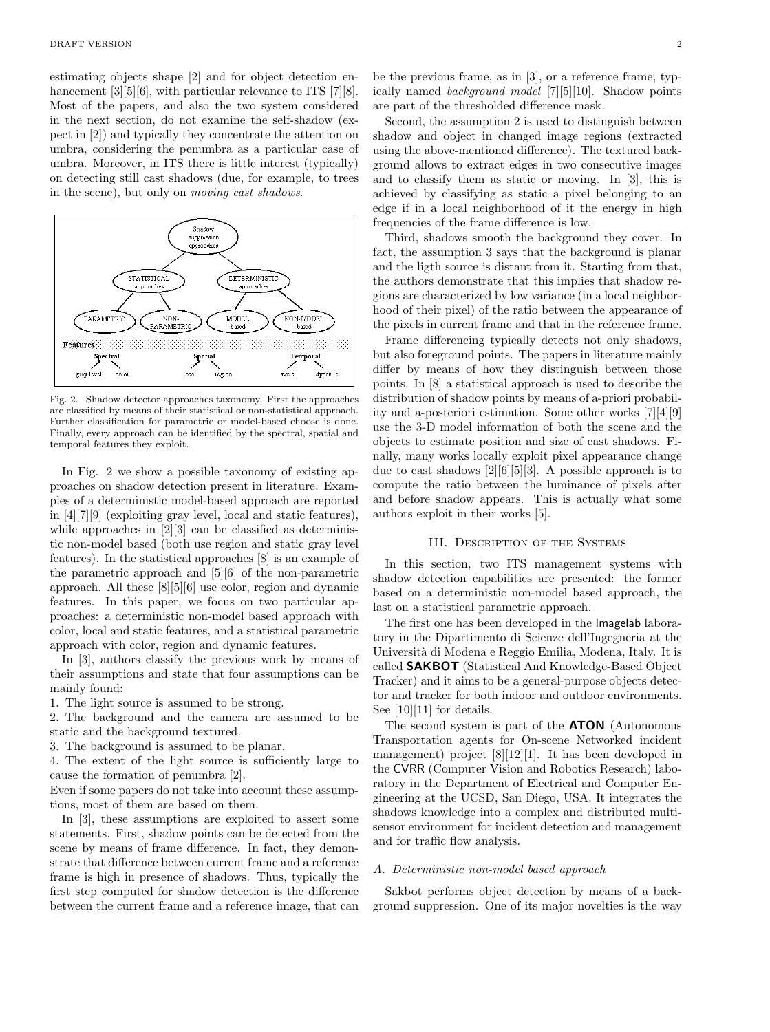estimating objects shape [2] and for object detection enhancement [3][5][6], with particular relevance to ITS [7][8]. Most of the papers, and also the two system considered in the next section, do not examine the self-shadow (expect in [2]) and typically they concentrate the attention on umbra, considering the penumbra as a particular case of umbra. Moreover, in ITS there is little interest (typically) on detecting still cast shadows (due, for example, to trees in the scene), but only on moving cast shadows.



Fig. 2. Shadow detector approaches taxonomy. First the approaches are classified by means of their statistical or non-statistical approach. Further classification for parametric or model-based choose is done. Finally, every approach can be identified by the spectral, spatial and temporal features they exploit.

In Fig. 2 we show a possible taxonomy of existing approaches on shadow detection present in literature. Examples of a deterministic model-based approach are reported in [4][7][9] (exploiting gray level, local and static features), while approaches in [2][3] can be classified as deterministic non-model based (both use region and static gray level features). In the statistical approaches [8] is an example of the parametric approach and [5][6] of the non-parametric approach. All these [8][5][6] use color, region and dynamic features. In this paper, we focus on two particular approaches: a deterministic non-model based approach with color, local and static features, and a statistical parametric approach with color, region and dynamic features.

In [3], authors classify the previous work by means of their assumptions and state that four assumptions can be mainly found:

1. The light source is assumed to be strong.

2. The background and the camera are assumed to be static and the background textured.

3. The background is assumed to be planar.

4. The extent of the light source is sufficiently large to cause the formation of penumbra [2].

Even if some papers do not take into account these assumptions, most of them are based on them.

In [3], these assumptions are exploited to assert some statements. First, shadow points can be detected from the scene by means of frame difference. In fact, they demonstrate that difference between current frame and a reference frame is high in presence of shadows. Thus, typically the first step computed for shadow detection is the difference between the current frame and a reference image, that can be the previous frame, as in [3], or a reference frame, typically named background model [7][5][10]. Shadow points are part of the thresholded difference mask.

Second, the assumption 2 is used to distinguish between shadow and object in changed image regions (extracted using the above-mentioned difference). The textured background allows to extract edges in two consecutive images and to classify them as static or moving. In [3], this is achieved by classifying as static a pixel belonging to an edge if in a local neighborhood of it the energy in high frequencies of the frame difference is low.

Third, shadows smooth the background they cover. In fact, the assumption 3 says that the background is planar and the ligth source is distant from it. Starting from that, the authors demonstrate that this implies that shadow regions are characterized by low variance (in a local neighborhood of their pixel) of the ratio between the appearance of the pixels in current frame and that in the reference frame.

Frame differencing typically detects not only shadows, but also foreground points. The papers in literature mainly differ by means of how they distinguish between those points. In [8] a statistical approach is used to describe the distribution of shadow points by means of a-priori probability and a-posteriori estimation. Some other works [7][4][9] use the 3-D model information of both the scene and the objects to estimate position and size of cast shadows. Finally, many works locally exploit pixel appearance change due to cast shadows [2][6][5][3]. A possible approach is to compute the ratio between the luminance of pixels after and before shadow appears. This is actually what some authors exploit in their works [5].

## III. Description of the Systems

In this section, two ITS management systems with shadow detection capabilities are presented: the former based on a deterministic non-model based approach, the last on a statistical parametric approach.

The first one has been developed in the Imagelab laboratory in the Dipartimento di Scienze dell'Ingegneria at the Universit`a di Modena e Reggio Emilia, Modena, Italy. It is called SAKBOT (Statistical And Knowledge-Based Object Tracker) and it aims to be a general-purpose objects detector and tracker for both indoor and outdoor environments. See  $[10][11]$  for details.

The second system is part of the **ATON** (Autonomous Transportation agents for On-scene Networked incident management) project [8][12][1]. It has been developed in the CVRR (Computer Vision and Robotics Research) laboratory in the Department of Electrical and Computer Engineering at the UCSD, San Diego, USA. It integrates the shadows knowledge into a complex and distributed multisensor environment for incident detection and management and for traffic flow analysis.

#### A. Deterministic non-model based approach

Sakbot performs object detection by means of a background suppression. One of its major novelties is the way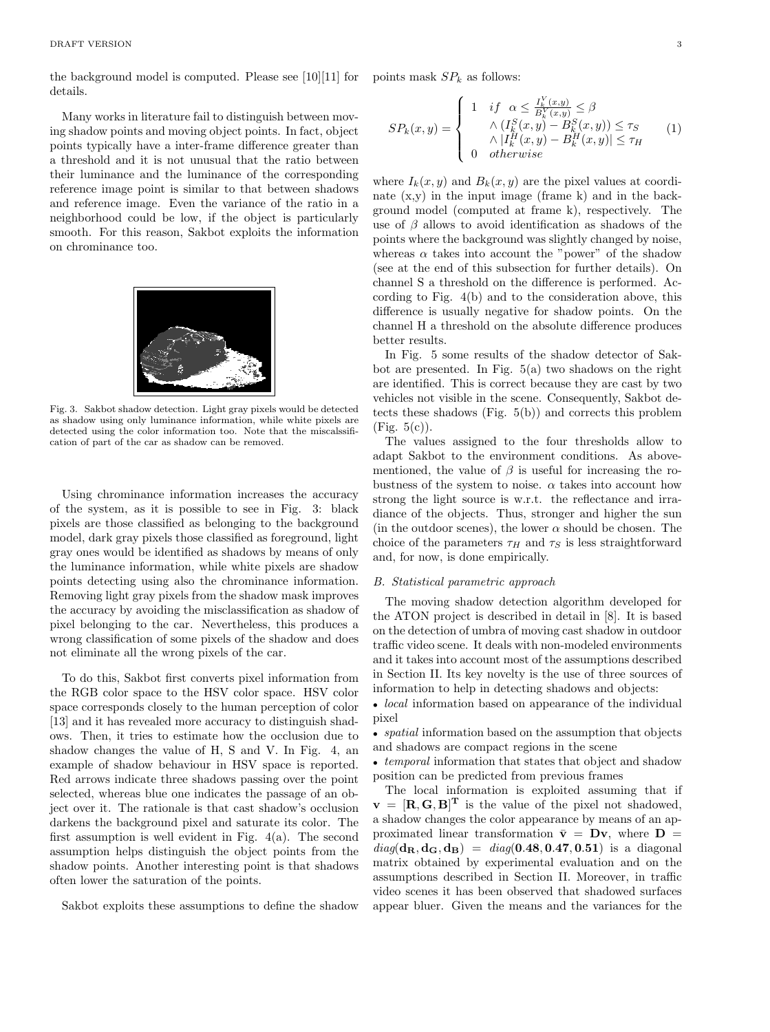the background model is computed. Please see [10][11] for details.

Many works in literature fail to distinguish between moving shadow points and moving object points. In fact, object points typically have a inter-frame difference greater than a threshold and it is not unusual that the ratio between their luminance and the luminance of the corresponding reference image point is similar to that between shadows and reference image. Even the variance of the ratio in a neighborhood could be low, if the object is particularly smooth. For this reason, Sakbot exploits the information on chrominance too.



Fig. 3. Sakbot shadow detection. Light gray pixels would be detected as shadow using only luminance information, while white pixels are detected using the color information too. Note that the miscalssification of part of the car as shadow can be removed.

Using chrominance information increases the accuracy of the system, as it is possible to see in Fig. 3: black pixels are those classified as belonging to the background model, dark gray pixels those classified as foreground, light gray ones would be identified as shadows by means of only the luminance information, while white pixels are shadow points detecting using also the chrominance information. Removing light gray pixels from the shadow mask improves the accuracy by avoiding the misclassification as shadow of pixel belonging to the car. Nevertheless, this produces a wrong classification of some pixels of the shadow and does not eliminate all the wrong pixels of the car.

To do this, Sakbot first converts pixel information from the RGB color space to the HSV color space. HSV color space corresponds closely to the human perception of color [13] and it has revealed more accuracy to distinguish shadows. Then, it tries to estimate how the occlusion due to shadow changes the value of H, S and V. In Fig. 4, an example of shadow behaviour in HSV space is reported. Red arrows indicate three shadows passing over the point selected, whereas blue one indicates the passage of an object over it. The rationale is that cast shadow's occlusion darkens the background pixel and saturate its color. The first assumption is well evident in Fig. 4(a). The second assumption helps distinguish the object points from the shadow points. Another interesting point is that shadows often lower the saturation of the points.

Sakbot exploits these assumptions to define the shadow

points mask  $SP_k$  as follows:

$$
SP_k(x,y) = \begin{cases} 1 & \text{if } \alpha \leq \frac{I_k^V(x,y)}{B_k^V(x,y)} \leq \beta \\ \wedge (I_k^S(x,y) - B_k^S(x,y)) \leq \tau_S \\ \wedge |I_k^H(x,y) - B_k^H(x,y)| \leq \tau_H \\ 0 & otherwise \end{cases} \tag{1}
$$

where  $I_k(x, y)$  and  $B_k(x, y)$  are the pixel values at coordinate  $(x,y)$  in the input image (frame k) and in the background model (computed at frame k), respectively. The use of  $\beta$  allows to avoid identification as shadows of the points where the background was slightly changed by noise, whereas  $\alpha$  takes into account the "power" of the shadow (see at the end of this subsection for further details). On channel S a threshold on the difference is performed. According to Fig. 4(b) and to the consideration above, this difference is usually negative for shadow points. On the channel H a threshold on the absolute difference produces better results.

In Fig. 5 some results of the shadow detector of Sakbot are presented. In Fig. 5(a) two shadows on the right are identified. This is correct because they are cast by two vehicles not visible in the scene. Consequently, Sakbot detects these shadows (Fig. 5(b)) and corrects this problem  $(Fig. 5(c))$ .

The values assigned to the four thresholds allow to adapt Sakbot to the environment conditions. As abovementioned, the value of  $\beta$  is useful for increasing the robustness of the system to noise.  $\alpha$  takes into account how strong the light source is w.r.t. the reflectance and irradiance of the objects. Thus, stronger and higher the sun (in the outdoor scenes), the lower  $\alpha$  should be chosen. The choice of the parameters  $\tau_H$  and  $\tau_S$  is less straightforward and, for now, is done empirically.

# B. Statistical parametric approach

The moving shadow detection algorithm developed for the ATON project is described in detail in [8]. It is based on the detection of umbra of moving cast shadow in outdoor traffic video scene. It deals with non-modeled environments and it takes into account most of the assumptions described in Section II. Its key novelty is the use of three sources of information to help in detecting shadows and objects:

• *local* information based on appearance of the individual pixel

• *spatial* information based on the assumption that objects and shadows are compact regions in the scene

• *temporal* information that states that object and shadow position can be predicted from previous frames

The local information is exploited assuming that if  $\mathbf{v} = [\mathbf{R}, \mathbf{G}, \mathbf{B}]^{\mathrm{T}}$  is the value of the pixel not shadowed, a shadow changes the color appearance by means of an approximated linear transformation  $\bar{\mathbf{v}} = \mathbf{D}\mathbf{v}$ , where  $\mathbf{D} =$  $diag(\mathbf{d}_{\mathbf{R}}, \mathbf{d}_{\mathbf{G}}, \mathbf{d}_{\mathbf{B}}) = diag(0.48, 0.47, 0.51)$  is a diagonal matrix obtained by experimental evaluation and on the assumptions described in Section II. Moreover, in traffic video scenes it has been observed that shadowed surfaces appear bluer. Given the means and the variances for the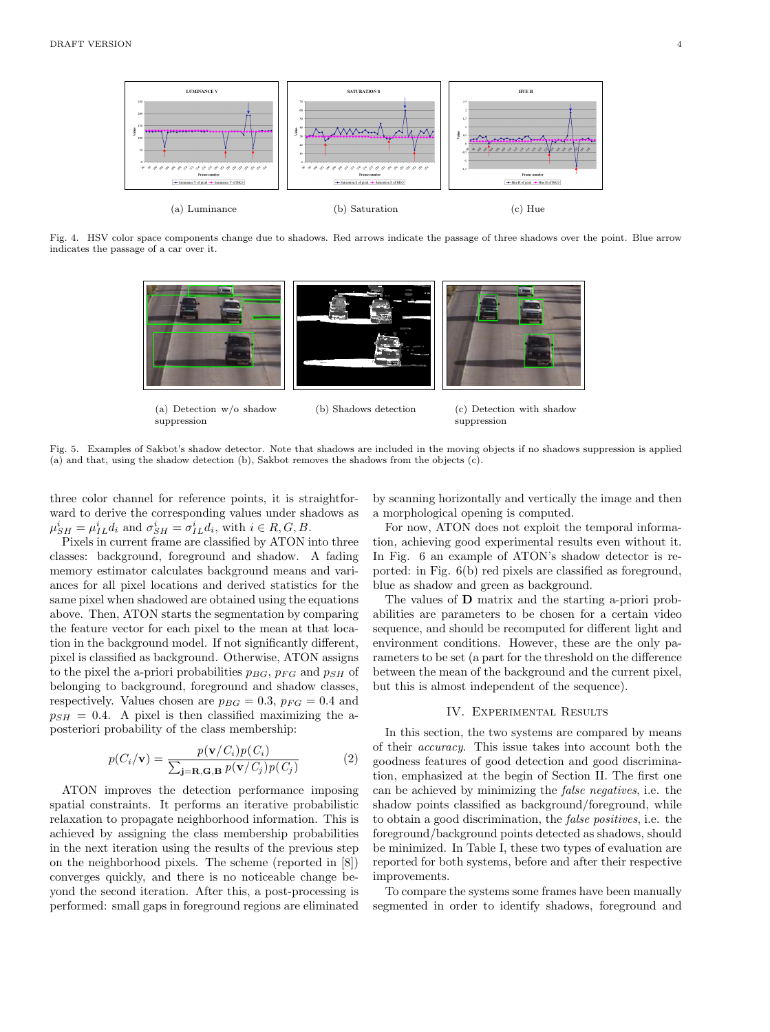

Fig. 4. HSV color space components change due to shadows. Red arrows indicate the passage of three shadows over the point. Blue arrow indicates the passage of a car over it.



Fig. 5. Examples of Sakbot's shadow detector. Note that shadows are included in the moving objects if no shadows suppression is applied (a) and that, using the shadow detection (b), Sakbot removes the shadows from the objects (c).

three color channel for reference points, it is straightforward to derive the corresponding values under shadows as  $\mu_{SH}^i = \mu_{IL}^i d_i$  and  $\sigma_{SH}^i = \sigma_{IL}^i d_i$ , with  $i \in R, G, B$ .

suppression

Pixels in current frame are classified by ATON into three classes: background, foreground and shadow. A fading memory estimator calculates background means and variances for all pixel locations and derived statistics for the same pixel when shadowed are obtained using the equations above. Then, ATON starts the segmentation by comparing the feature vector for each pixel to the mean at that location in the background model. If not significantly different, pixel is classified as background. Otherwise, ATON assigns to the pixel the a-priori probabilities  $p_{BG}$ ,  $p_{FG}$  and  $p_{SH}$  of belonging to background, foreground and shadow classes, respectively. Values chosen are  $p_{BG} = 0.3$ ,  $p_{FG} = 0.4$  and  $p_{SH} = 0.4$ . A pixel is then classified maximizing the aposteriori probability of the class membership:

$$
p(C_i/\mathbf{v}) = \frac{p(\mathbf{v}/C_i)p(C_i)}{\sum_{\mathbf{j}=\mathbf{R},\mathbf{G},\mathbf{B}} p(\mathbf{v}/C_j)p(C_j)}
$$
(2)

ATON improves the detection performance imposing spatial constraints. It performs an iterative probabilistic relaxation to propagate neighborhood information. This is achieved by assigning the class membership probabilities in the next iteration using the results of the previous step on the neighborhood pixels. The scheme (reported in [8]) converges quickly, and there is no noticeable change beyond the second iteration. After this, a post-processing is performed: small gaps in foreground regions are eliminated

by scanning horizontally and vertically the image and then a morphological opening is computed.

suppression

For now, ATON does not exploit the temporal information, achieving good experimental results even without it. In Fig. 6 an example of ATON's shadow detector is reported: in Fig. 6(b) red pixels are classified as foreground, blue as shadow and green as background.

The values of D matrix and the starting a-priori probabilities are parameters to be chosen for a certain video sequence, and should be recomputed for different light and environment conditions. However, these are the only parameters to be set (a part for the threshold on the difference between the mean of the background and the current pixel, but this is almost independent of the sequence).

# IV. Experimental Results

In this section, the two systems are compared by means of their accuracy. This issue takes into account both the goodness features of good detection and good discrimination, emphasized at the begin of Section II. The first one can be achieved by minimizing the false negatives, i.e. the shadow points classified as background/foreground, while to obtain a good discrimination, the false positives, i.e. the foreground/background points detected as shadows, should be minimized. In Table I, these two types of evaluation are reported for both systems, before and after their respective improvements.

To compare the systems some frames have been manually segmented in order to identify shadows, foreground and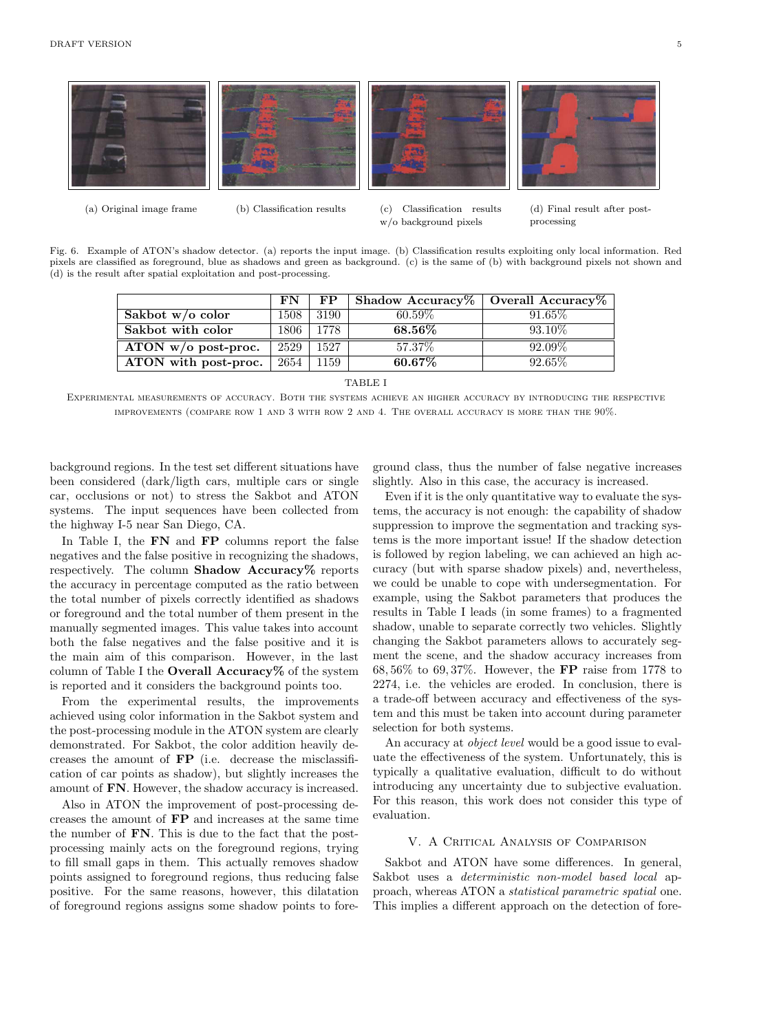

Fig. 6. Example of ATON's shadow detector. (a) reports the input image. (b) Classification results exploiting only local information. Red pixels are classified as foreground, blue as shadows and green as background. (c) is the same of (b) with background pixels not shown and (d) is the result after spatial exploitation and post-processing.

|                       | FN   | FP.  | Shadow Accuracy   Overall Accuracy $\%$ |           |
|-----------------------|------|------|-----------------------------------------|-----------|
| Sakbot $w/o$ color    | 1508 | 3190 | $60.59\%$                               | 91.65\%   |
| Sakbot with color     | 1806 | 1778 | $68.56\%$                               | $93.10\%$ |
| ATON $w/o$ post-proc. | 2529 | 1527 | 57.37\%                                 | 92.09%    |
| ATON with post-proc.  | 2654 | 1159 | $60.67\%$                               | 92.65\%   |

TABLE I

Experimental measurements of accuracy. Both the systems achieve an higher accuracy by introducing the respective improvements (compare row 1 and 3 with row 2 and 4. The overall accuracy is more than the 90%.

background regions. In the test set different situations have been considered (dark/ligth cars, multiple cars or single car, occlusions or not) to stress the Sakbot and ATON systems. The input sequences have been collected from the highway I-5 near San Diego, CA.

In Table I, the **FN** and **FP** columns report the false negatives and the false positive in recognizing the shadows, respectively. The column **Shadow Accuracy** $\%$  reports the accuracy in percentage computed as the ratio between the total number of pixels correctly identified as shadows or foreground and the total number of them present in the manually segmented images. This value takes into account both the false negatives and the false positive and it is the main aim of this comparison. However, in the last column of Table I the Overall Accuracy% of the system is reported and it considers the background points too.

From the experimental results, the improvements achieved using color information in the Sakbot system and the post-processing module in the ATON system are clearly demonstrated. For Sakbot, the color addition heavily decreases the amount of FP (i.e. decrease the misclassification of car points as shadow), but slightly increases the amount of FN. However, the shadow accuracy is increased.

Also in ATON the improvement of post-processing decreases the amount of FP and increases at the same time the number of FN. This is due to the fact that the postprocessing mainly acts on the foreground regions, trying to fill small gaps in them. This actually removes shadow points assigned to foreground regions, thus reducing false positive. For the same reasons, however, this dilatation of foreground regions assigns some shadow points to foreground class, thus the number of false negative increases slightly. Also in this case, the accuracy is increased.

Even if it is the only quantitative way to evaluate the systems, the accuracy is not enough: the capability of shadow suppression to improve the segmentation and tracking systems is the more important issue! If the shadow detection is followed by region labeling, we can achieved an high accuracy (but with sparse shadow pixels) and, nevertheless, we could be unable to cope with undersegmentation. For example, using the Sakbot parameters that produces the results in Table I leads (in some frames) to a fragmented shadow, unable to separate correctly two vehicles. Slightly changing the Sakbot parameters allows to accurately segment the scene, and the shadow accuracy increases from 68, 56% to 69, 37%. However, the FP raise from 1778 to 2274, i.e. the vehicles are eroded. In conclusion, there is a trade-off between accuracy and effectiveness of the system and this must be taken into account during parameter selection for both systems.

An accuracy at object level would be a good issue to evaluate the effectiveness of the system. Unfortunately, this is typically a qualitative evaluation, difficult to do without introducing any uncertainty due to subjective evaluation. For this reason, this work does not consider this type of evaluation.

# V. A Critical Analysis of Comparison

Sakbot and ATON have some differences. In general, Sakbot uses a deterministic non-model based local approach, whereas ATON a statistical parametric spatial one. This implies a different approach on the detection of fore